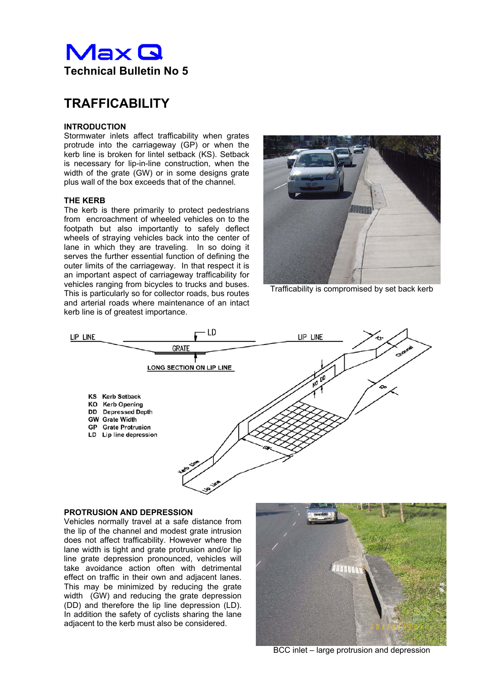

# **TRAFFICABILITY**

## **INTRODUCTION**

Stormwater inlets affect trafficability when grates protrude into the carriageway (GP) or when the kerb line is broken for lintel setback (KS). Setback is necessary for lip-in-line construction, when the width of the grate (GW) or in some designs grate plus wall of the box exceeds that of the channel.

## **THE KERB**

The kerb is there primarily to protect pedestrians from encroachment of wheeled vehicles on to the footpath but also importantly to safely deflect wheels of straying vehicles back into the center of lane in which they are traveling. In so doing it serves the further essential function of defining the outer limits of the carriageway. In that respect it is an important aspect of carriageway trafficability for vehicles ranging from bicycles to trucks and buses. This is particularly so for collector roads, bus routes and arterial roads where maintenance of an intact kerb line is of greatest importance.



Trafficability is compromised by set back kerb



## **PROTRUSION AND DEPRESSION**

Vehicles normally travel at a safe distance from the lip of the channel and modest grate intrusion does not affect trafficability. However where the lane width is tight and grate protrusion and/or lip line grate depression pronounced, vehicles will take avoidance action often with detrimental effect on traffic in their own and adjacent lanes. This may be minimized by reducing the grate width (GW) and reducing the grate depression (DD) and therefore the lip line depression (LD). In addition the safety of cyclists sharing the lane adjacent to the kerb must also be considered.



BCC inlet – large protrusion and depression